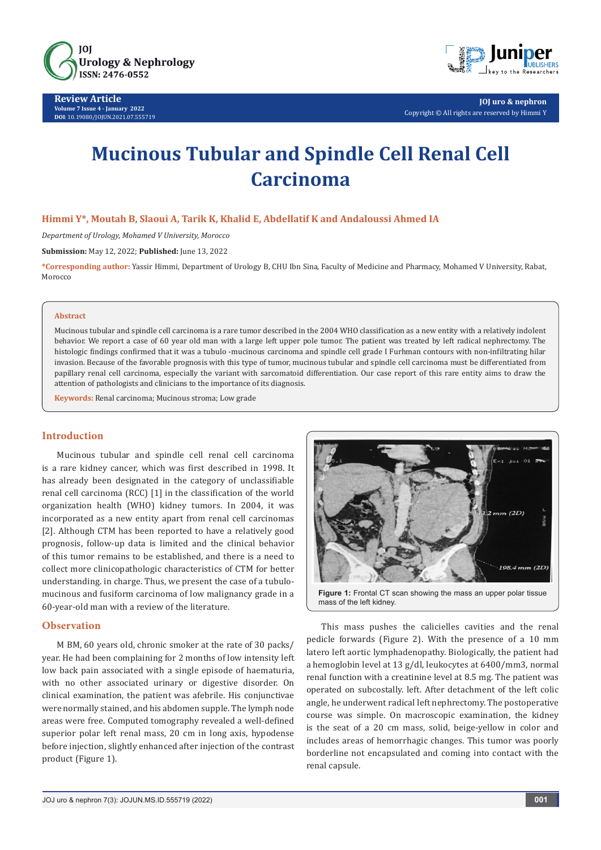

**Review Article Volume 7 Issue 4 - January 2022 DOI**: [10.19080/JOJUN.2021.07.555719](http://dx.doi.org/10.19080/JOJUN.2022.07.555719)



**JOJ uro & nephron** Copyright © All rights are reserved by Himmi Y

# **Mucinous Tubular and Spindle Cell Renal Cell Carcinoma**

## **Himmi Y\*, Moutah B, Slaoui A, Tarik K, Khalid E, Abdellatif K and Andaloussi Ahmed IA**

*Department of Urology, Mohamed V University, Morocco*

**Submission:** May 12, 2022; **Published:** June 13, 2022

**\*Corresponding author:** Yassir Himmi, Department of Urology B, CHU Ibn Sina, Faculty of Medicine and Pharmacy, Mohamed V University, Rabat, Morocco

#### **Abstract**

Mucinous tubular and spindle cell carcinoma is a rare tumor described in the 2004 WHO classification as a new entity with a relatively indolent behavior. We report a case of 60 year old man with a large left upper pole tumor. The patient was treated by left radical nephrectomy. The histologic findings confirmed that it was a tubulo -mucinous carcinoma and spindle cell grade I Furhman contours with non-infiltrating hilar invasion. Because of the favorable prognosis with this type of tumor, mucinous tubular and spindle cell carcinoma must be differentiated from papillary renal cell carcinoma, especially the variant with sarcomatoid differentiation. Our case report of this rare entity aims to draw the attention of pathologists and clinicians to the importance of its diagnosis.

**Keywords:** Renal carcinoma; Mucinous stroma; Low grade

## **Introduction**

Mucinous tubular and spindle cell renal cell carcinoma is a rare kidney cancer, which was first described in 1998. It has already been designated in the category of unclassifiable renal cell carcinoma (RCC) [1] in the classification of the world organization health (WHO) kidney tumors. In 2004, it was incorporated as a new entity apart from renal cell carcinomas [2]. Although CTM has been reported to have a relatively good prognosis, follow-up data is limited and the clinical behavior of this tumor remains to be established, and there is a need to collect more clinicopathologic characteristics of CTM for better understanding. in charge. Thus, we present the case of a tubulomucinous and fusiform carcinoma of low malignancy grade in a 60-year-old man with a review of the literature.

## **Observation**

M BM, 60 years old, chronic smoker at the rate of 30 packs/ year. He had been complaining for 2 months of low intensity left low back pain associated with a single episode of haematuria, with no other associated urinary or digestive disorder. On clinical examination, the patient was afebrile. His conjunctivae were normally stained, and his abdomen supple. The lymph node areas were free. Computed tomography revealed a well-defined superior polar left renal mass, 20 cm in long axis, hypodense before injection, slightly enhanced after injection of the contrast product (Figure 1).



This mass pushes the calicielles cavities and the renal pedicle forwards (Figure 2). With the presence of a 10 mm latero left aortic lymphadenopathy. Biologically, the patient had a hemoglobin level at 13 g/dl, leukocytes at 6400/mm3, normal renal function with a creatinine level at 8.5 mg. The patient was operated on subcostally. left. After detachment of the left colic angle, he underwent radical left nephrectomy. The postoperative course was simple. On macroscopic examination, the kidney is the seat of a 20 cm mass, solid, beige-yellow in color and includes areas of hemorrhagic changes. This tumor was poorly borderline not encapsulated and coming into contact with the renal capsule.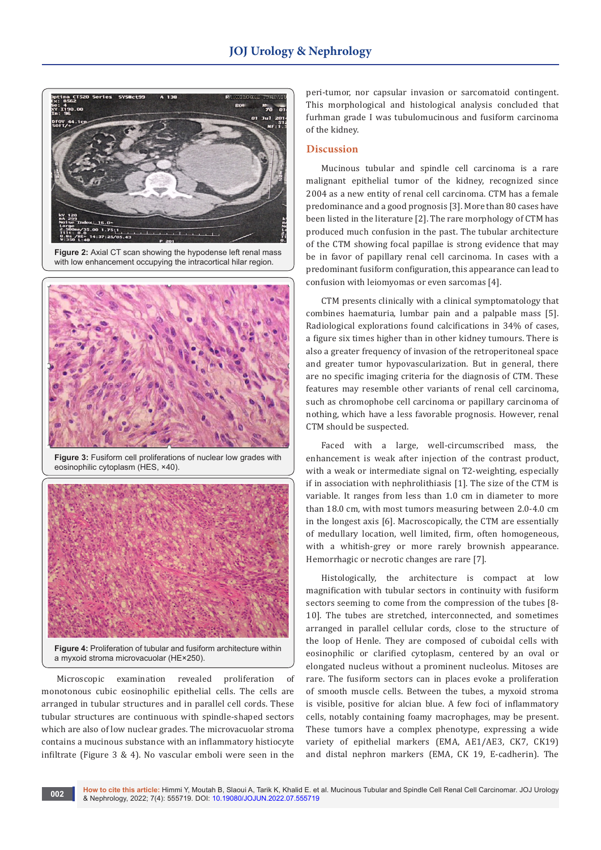

**Figure 2:** Axial CT scan showing the hypodense left renal mass with low enhancement occupying the intracortical hilar region.



**Figure 3:** Fusiform cell proliferations of nuclear low grades with eosinophilic cytoplasm (HES, ×40).



**Figure 4:** Proliferation of tubular and fusiform architecture within a myxoid stroma microvacuolar (HE×250).

Microscopic examination revealed proliferation of monotonous cubic eosinophilic epithelial cells. The cells are arranged in tubular structures and in parallel cell cords. These tubular structures are continuous with spindle-shaped sectors which are also of low nuclear grades. The microvacuolar stroma contains a mucinous substance with an inflammatory histiocyte infiltrate (Figure 3 & 4). No vascular emboli were seen in the peri-tumor, nor capsular invasion or sarcomatoid contingent. This morphological and histological analysis concluded that furhman grade I was tubulomucinous and fusiform carcinoma of the kidney.

### **Discussion**

Mucinous tubular and spindle cell carcinoma is a rare malignant epithelial tumor of the kidney, recognized since 2004 as a new entity of renal cell carcinoma. CTM has a female predominance and a good prognosis [3]. More than 80 cases have been listed in the literature [2]. The rare morphology of CTM has produced much confusion in the past. The tubular architecture of the CTM showing focal papillae is strong evidence that may be in favor of papillary renal cell carcinoma. In cases with a predominant fusiform configuration, this appearance can lead to confusion with leiomyomas or even sarcomas [4].

CTM presents clinically with a clinical symptomatology that combines haematuria, lumbar pain and a palpable mass [5]. Radiological explorations found calcifications in 34% of cases, a figure six times higher than in other kidney tumours. There is also a greater frequency of invasion of the retroperitoneal space and greater tumor hypovascularization. But in general, there are no specific imaging criteria for the diagnosis of CTM. These features may resemble other variants of renal cell carcinoma, such as chromophobe cell carcinoma or papillary carcinoma of nothing, which have a less favorable prognosis. However, renal CTM should be suspected.

Faced with a large, well-circumscribed mass, the enhancement is weak after injection of the contrast product, with a weak or intermediate signal on T2-weighting, especially if in association with nephrolithiasis [1]. The size of the CTM is variable. It ranges from less than 1.0 cm in diameter to more than 18.0 cm, with most tumors measuring between 2.0-4.0 cm in the longest axis [6]. Macroscopically, the CTM are essentially of medullary location, well limited, firm, often homogeneous, with a whitish-grey or more rarely brownish appearance. Hemorrhagic or necrotic changes are rare [7].

Histologically, the architecture is compact at low magnification with tubular sectors in continuity with fusiform sectors seeming to come from the compression of the tubes [8- 10]. The tubes are stretched, interconnected, and sometimes arranged in parallel cellular cords, close to the structure of the loop of Henle. They are composed of cuboidal cells with eosinophilic or clarified cytoplasm, centered by an oval or elongated nucleus without a prominent nucleolus. Mitoses are rare. The fusiform sectors can in places evoke a proliferation of smooth muscle cells. Between the tubes, a myxoid stroma is visible, positive for alcian blue. A few foci of inflammatory cells, notably containing foamy macrophages, may be present. These tumors have a complex phenotype, expressing a wide variety of epithelial markers (EMA, AE1/AE3, CK7, CK19) and distal nephron markers (EMA, CK 19, E-cadherin). The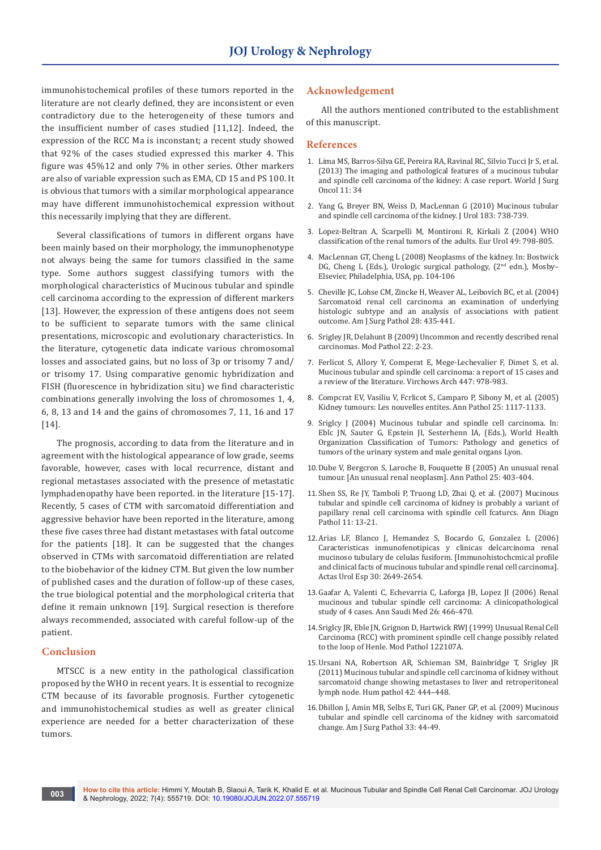immunohistochemical profiles of these tumors reported in the literature are not clearly defined, they are inconsistent or even contradictory due to the heterogeneity of these tumors and the insufficient number of cases studied [11,12]. Indeed, the expression of the RCC Ma is inconstant; a recent study showed that 92% of the cases studied expressed this marker 4. This figure was 45%12 and only 7% in other series. Other markers are also of variable expression such as EMA, CD 15 and PS 100. It is obvious that tumors with a similar morphological appearance may have different immunohistochemical expression without this necessarily implying that they are different.

Several classifications of tumors in different organs have been mainly based on their morphology, the immunophenotype not always being the same for tumors classified in the same type. Some authors suggest classifying tumors with the morphological characteristics of Mucinous tubular and spindle cell carcinoma according to the expression of different markers [13]. However, the expression of these antigens does not seem to be sufficient to separate tumors with the same clinical presentations, microscopic and evolutionary characteristics. In the literature, cytogenetic data indicate various chromosomal losses and associated gains, but no loss of 3p or trisomy 7 and/ or trisomy 17. Using comparative genomic hybridization and FISH (fluorescence in hybridization situ) we find characteristic combinations generally involving the loss of chromosomes 1, 4, 6, 8, 13 and 14 and the gains of chromosomes 7, 11, 16 and 17 [14].

The prognosis, according to data from the literature and in agreement with the histological appearance of low grade, seems favorable, however, cases with local recurrence, distant and regional metastases associated with the presence of metastatic lymphadenopathy have been reported. in the literature [15-17]. Recently, 5 cases of CTM with sarcomatoid differentiation and aggressive behavior have been reported in the literature, among these five cases three had distant metastases with fatal outcome for the patients [18]. It can be suggested that the changes observed in CTMs with sarcomatoid differentiation are related to the biobehavior of the kidney CTM. But given the low number of published cases and the duration of follow-up of these cases, the true biological potential and the morphological criteria that define it remain unknown [19]. Surgical resection is therefore always recommended, associated with careful follow-up of the patient.

#### **Conclusion**

MTSCC is a new entity in the pathological classification proposed by the WHO in recent years. It is essential to recognize CTM because of its favorable prognosis. Further cytogenetic and immunohistochemical studies as well as greater clinical experience are needed for a better characterization of these tumors.

## **Acknowledgement**

All the authors mentioned contributed to the establishment of this manuscript.

#### **References**

- 1. [Lima MS, Barros-Silva GE, Pereira RA, Ravinal RC, Silvio Tucci Jr S, et al.](https://pubmed.ncbi.nlm.nih.gov/23374174/)  [\(2013\) The imaging and pathological features of a mucinous tubular](https://pubmed.ncbi.nlm.nih.gov/23374174/)  [and spindle cell carcinoma of the kidney: A case report. World J Surg](https://pubmed.ncbi.nlm.nih.gov/23374174/)  [Oncol 11: 34](https://pubmed.ncbi.nlm.nih.gov/23374174/)
- 2. [Yang G, Breyer BN, Weiss D, MacLennan G \(2010\) Mucinous tubular](https://pubmed.ncbi.nlm.nih.gov/20022029/)  [and spindle cell carcinoma of the kidney. J Urol 183: 738-739.](https://pubmed.ncbi.nlm.nih.gov/20022029/)
- 3. [Lopez-Beltran A, Scarpelli M, Montironi R, Kirkali Z \(2004\) WHO](https://pubmed.ncbi.nlm.nih.gov/16442207/)  [classification of the renal tumors of the adults. Eur Urol 49: 798-805.](https://pubmed.ncbi.nlm.nih.gov/16442207/)
- 4. MacLennan GT, Cheng L (2008) Neoplasms of the kidney. In: Bostwick DG, Cheng L (Eds.), Urologic surgical pathology, (2<sup>nd</sup> edn.), Mosby-Elsevier, Philadelphia, USA, pp. 104-106
- 5. [Cheville JC, Lohse CM, Zincke H, Weaver AL, Leibovich BC, et al. \(2004\)](https://pubmed.ncbi.nlm.nih.gov/15087662/)  [Sarcomatoid renal cell carcinoma an examination of underlying](https://pubmed.ncbi.nlm.nih.gov/15087662/)  [histologic subtype and an analysis of associations with patient](https://pubmed.ncbi.nlm.nih.gov/15087662/)  [outcome. Am J Surg Pathol 28: 435-441.](https://pubmed.ncbi.nlm.nih.gov/15087662/)
- 6. [Srigley JR, Delahunt B \(2009\) Uncommon and recently described renal](https://pubmed.ncbi.nlm.nih.gov/19494850/)  [carcinomas. Mod Pathol 22: 2-23.](https://pubmed.ncbi.nlm.nih.gov/19494850/)
- 7. [Ferlicot S, Allory Y, Comperat E, Mege-Lechevalier F, Dimet S, et al.](https://pubmed.ncbi.nlm.nih.gov/16231179/)  [Mucinous tubular and spindle cell carcinoma: a report of 15 cases and](https://pubmed.ncbi.nlm.nih.gov/16231179/)  [a review of the literature. Virchows Arch 447: 978-983.](https://pubmed.ncbi.nlm.nih.gov/16231179/)
- 8. Compcrat EV, Vasiliu V, Fcrlicot S, Camparo P, Sibony M, et al. (2005) Kidney tumours: Les nouvelles entites. Ann Pathol 25: 1117-1133.
- 9. Sriglcy J (2004) Mucinous tubular and spindle cell carcinoma. In: Eblc JN, Sauter G, Epstein JI, Sesterhenn IA, (Eds.), World Health Organization Classification of Tumors: Pathology and genetics of tumors of the urinary system and male genital organs Lyon.
- 10.Dube V, Bergcron S, Laroche B, Fouquette B (2005) An unusual renal tumour. [An unusual renal neoplasm]. Ann Pathol 25: 403-404.
- 11.[Shen SS, Re JY, Tamboli P, Truong LD, Zhai Q, et al. \(2007\) Mucinous](https://pubmed.ncbi.nlm.nih.gov/17240302/)  [tubular and spindle cell carcinoma of kidney is probably a variant of](https://pubmed.ncbi.nlm.nih.gov/17240302/)  [papillary renal cell carcinoma with spindle cell fcaturcs. Ann Diagn](https://pubmed.ncbi.nlm.nih.gov/17240302/)  [Pathol 11: 13-21.](https://pubmed.ncbi.nlm.nih.gov/17240302/)
- 12.[Arias LF, Blanco J, Hemandez S, Bocardo G, Gonzalez L \(2006\)](https://pubmed.ncbi.nlm.nih.gov/17058608/)  [Caracteristicas inmunofenotipicas y clinicas delcarcinoma renal](https://pubmed.ncbi.nlm.nih.gov/17058608/)  [mucinoso tubulary de celulas fusiform. \[Immunohistochcmical profile](https://pubmed.ncbi.nlm.nih.gov/17058608/)  [and clinical facts of mucinous tubular and spindle renal cell carcinoma\].](https://pubmed.ncbi.nlm.nih.gov/17058608/)  [Actas Urol Esp 30: 2649-2654.](https://pubmed.ncbi.nlm.nih.gov/17058608/)
- 13.[Gaafar A, Valenti C, Echevarria C, Laforga JB, Lopez JI \(2006\) Renal](https://pubmed.ncbi.nlm.nih.gov/17396379/)  [mucinous and tubular spindle cell carcinoma: A clinicopathological](https://pubmed.ncbi.nlm.nih.gov/17396379/)  [study of 4 cases. Ann Saudi Med 26: 466-470.](https://pubmed.ncbi.nlm.nih.gov/17396379/)
- 14.Sriglcy JR, Eble JN, Grignon D, Hartwick RWJ (1999) Unusual Renal Cell Carcinoma (RCC) with prominent spindle cell change possibly related to the loop of Henle. Mod Pathol 122107A.
- 15.[Ursani NA, Robertson AR, Schieman SM, Bainbridge T, Srigley JR](https://pubmed.ncbi.nlm.nih.gov/21194728/)  [\(2011\) Mucinous tubular and spindle cell carcinoma of kidney without](https://pubmed.ncbi.nlm.nih.gov/21194728/)  [sarcomatoid change showing metastases to liver and retroperitoneal](https://pubmed.ncbi.nlm.nih.gov/21194728/)  [lymph node. Hum pathol 42: 444–448.](https://pubmed.ncbi.nlm.nih.gov/21194728/)
- 16.[Dhillon J, Amin MB, Selbs E, Turi GK, Paner GP, et al. \(2009\) Mucinous](https://pubmed.ncbi.nlm.nih.gov/18941398/)  [tubular and spindle cell carcinoma of the kidney with sarcomatoid](https://pubmed.ncbi.nlm.nih.gov/18941398/)  [change. Am J Surg Pathol 33: 44-49.](https://pubmed.ncbi.nlm.nih.gov/18941398/)